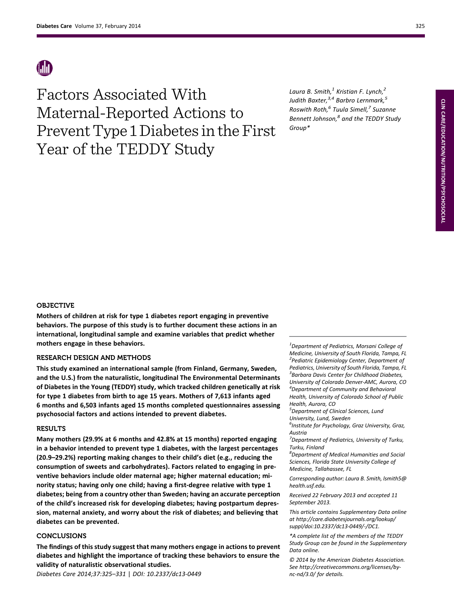Factors Associated With Maternal-Reported Actions to Prevent Type 1 Diabetes in the First Year of the TEDDY Study

Laura B. Smith, $^1$  Kristian F. Lynch, $^2$ Judith Baxter,<sup>3,4</sup> Barbro Lernmark,<sup>5</sup> Roswith Roth, $^6$  Tuula Simell, $^7$  Suzanne Bennett Johnson,<sup>8</sup> and the TEDDY Study Group\*

Mothers of children at risk for type 1 diabetes report engaging in preventive behaviors. The purpose of this study is to further document these actions in an international, longitudinal sample and examine variables that predict whether mothers engage in these behaviors.

# RESEARCH DESIGN AND METHODS

This study examined an international sample (from Finland, Germany, Sweden, and the U.S.) from the naturalistic, longitudinal The Environmental Determinants of Diabetes in the Young (TEDDY) study, which tracked children genetically at risk for type 1 diabetes from birth to age 15 years. Mothers of 7,613 infants aged 6 months and 6,503 infants aged 15 months completed questionnaires assessing psychosocial factors and actions intended to prevent diabetes.

### RESULTS

Many mothers (29.9% at 6 months and 42.8% at 15 months) reported engaging in a behavior intended to prevent type 1 diabetes, with the largest percentages (20.9–29.2%) reporting making changes to their child's diet (e.g., reducing the consumption of sweets and carbohydrates). Factors related to engaging in preventive behaviors include older maternal age; higher maternal education; minority status; having only one child; having a first-degree relative with type 1 diabetes; being from a country other than Sweden; having an accurate perception of the child's increased risk for developing diabetes; having postpartum depression, maternal anxiety, and worry about the risk of diabetes; and believing that diabetes can be prevented.

# CONCLUSIONS

The findings of this study suggest that many mothers engage in actions to prevent diabetes and highlight the importance of tracking these behaviors to ensure the validity of naturalistic observational studies.

Diabetes Care 2014;37:325–331 | DOI: 10.2337/dc13-0449

 $^{1}$ Department of Pediatrics, Morsani College of Medicine, University of South Florida, Tampa, FL <sup>2</sup> Pediatric Epidemiology Center, Department of Pediatrics, University of South Florida, Tampa, FL <sup>3</sup> Barbara Davis Center for Childhood Diabetes, University of Colorado Denver-AMC, Aurora, CO 4 Department of Community and Behavioral Health, University of Colorado School of Public Health, Aurora, CO

<sup>5</sup>Department of Clinical Sciences, Lund University, Lund, Sweden

<sup>6</sup>Institute for Psychology, Graz University, Graz, Austria

 $7$ Department of Pediatrics, University of Turku, Turku, Finland

8 Department of Medical Humanities and Social Sciences, Florida State University College of Medicine, Tallahassee, FL

Corresponding author: Laura B. Smith, [lsmith5@](mailto:lsmith5@health.usf.edu) [health.usf.edu](mailto:lsmith5@health.usf.edu).

Received 22 February 2013 and accepted 11 September 2013.

This article contains Supplementary Data online at [http://care.diabetesjournals.org/lookup/](http://care.diabetesjournals.org/lookup/suppl/doi:10.2337/dc13-0449/-/DC1) [suppl/doi:10.2337/dc13-0449/-/DC1.](http://care.diabetesjournals.org/lookup/suppl/doi:10.2337/dc13-0449/-/DC1)

\*A complete list of the members of the TEDDY Study Group can be found in the [Supplementary](http://care.diabetesjournals.org/lookup/suppl/doi:10.2337/dc13-0449/-/DC1) [Data](http://care.diabetesjournals.org/lookup/suppl/doi:10.2337/dc13-0449/-/DC1) online.

© 2014 by the American Diabetes Association. See [http://creativecommons.org/licenses/by](http://creativecommons.org/licenses/by-nc-nd/3.0/)[nc-nd/3.0/](http://creativecommons.org/licenses/by-nc-nd/3.0/) for details.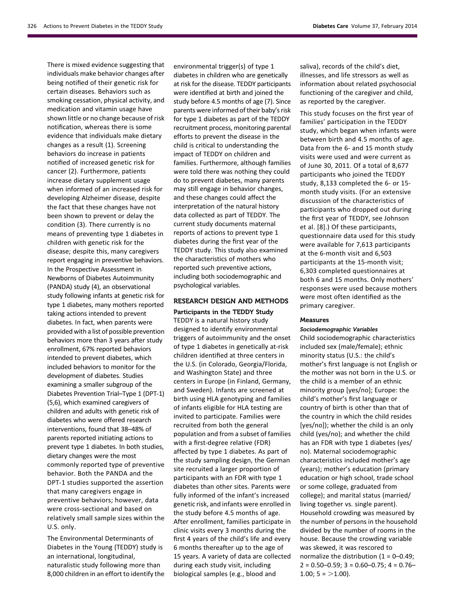There is mixed evidence suggesting that individuals make behavior changes after being notified of their genetic risk for certain diseases. Behaviors such as smoking cessation, physical activity, and medication and vitamin usage have shown little or no change because of risk notification, whereas there is some evidence that individuals make dietary changes as a result (1). Screening behaviors do increase in patients notified of increased genetic risk for cancer (2). Furthermore, patients increase dietary supplement usage when informed of an increased risk for developing Alzheimer disease, despite the fact that these changes have not been shown to prevent or delay the condition (3). There currently is no means of preventing type 1 diabetes in children with genetic risk for the disease; despite this, many caregivers report engaging in preventive behaviors. In the Prospective Assessment in Newborns of Diabetes Autoimmunity (PANDA) study (4), an observational study following infants at genetic risk for type 1 diabetes, many mothers reported taking actions intended to prevent diabetes. In fact, when parents were provided with a list of possible prevention behaviors more than 3 years after study enrollment, 67% reported behaviors intended to prevent diabetes, which included behaviors to monitor for the development of diabetes. Studies examining a smaller subgroup of the Diabetes Prevention Trial–Type 1 (DPT-1) (5,6), which examined caregivers of children and adults with genetic risk of diabetes who were offered research interventions, found that 38–48% of parents reported initiating actions to prevent type 1 diabetes. In both studies, dietary changes were the most commonly reported type of preventive behavior. Both the PANDA and the DPT-1 studies supported the assertion that many caregivers engage in preventive behaviors; however, data were cross-sectional and based on relatively small sample sizes within the U.S. only.

The Environmental Determinants of Diabetes in the Young (TEDDY) study is an international, longitudinal, naturalistic study following more than 8,000 children in an effort to identify the

environmental trigger(s) of type 1 diabetes in children who are genetically at risk for the disease. TEDDY participants were identified at birth and joined the study before 4.5 months of age (7). Since parents were informed of their baby's risk for type 1 diabetes as part of the TEDDY recruitment process, monitoring parental efforts to prevent the disease in the child is critical to understanding the impact of TEDDY on children and families. Furthermore, although families were told there was nothing they could do to prevent diabetes, many parents may still engage in behavior changes, and these changes could affect the interpretation of the natural history data collected as part of TEDDY. The current study documents maternal reports of actions to prevent type 1 diabetes during the first year of the TEDDY study. This study also examined the characteristics of mothers who reported such preventive actions, including both sociodemographic and psychological variables.

# RESEARCH DESIGN AND METHODS

Participants in the TEDDY Study TEDDY is a natural history study designed to identify environmental triggers of autoimmunity and the onset of type 1 diabetes in genetically at-risk children identified at three centers in the U.S. (in Colorado, Georgia/Florida, and Washington State) and three centers in Europe (in Finland, Germany, and Sweden). Infants are screened at birth using HLA genotyping and families of infants eligible for HLA testing are invited to participate. Families were recruited from both the general population and from a subset of families with a first-degree relative (FDR) affected by type 1 diabetes. As part of the study sampling design, the German site recruited a larger proportion of participants with an FDR with type 1 diabetes than other sites. Parents were fully informed of the infant's increased genetic risk, and infants were enrolled in the study before 4.5 months of age. After enrollment, families participate in clinic visits every 3 months during the first 4 years of the child's life and every 6 months thereafter up to the age of 15 years. A variety of data are collected during each study visit, including biological samples (e.g., blood and

saliva), records of the child's diet, illnesses, and life stressors as well as information about related psychosocial functioning of the caregiver and child, as reported by the caregiver.

This study focuses on the first year of families' participation in the TEDDY study, which began when infants were between birth and 4.5 months of age. Data from the 6- and 15 month study visits were used and were current as of June 30, 2011. Of a total of 8,677 participants who joined the TEDDY study, 8,133 completed the 6- or 15 month study visits. (For an extensive discussion of the characteristics of participants who dropped out during the first year of TEDDY, see Johnson et al. [8].) Of these participants, questionnaire data used for this study were available for 7,613 participants at the 6-month visit and 6,503 participants at the 15-month visit; 6,303 completed questionnaires at both 6 and 15 months. Only mothers' responses were used because mothers were most often identified as the primary caregiver.

#### Measures

#### Sociodemographic Variables

Child sociodemographic characteristics included sex (male/female); ethnic minority status (U.S.: the child's mother's first language is not English or the mother was not born in the U.S. or the child is a member of an ethnic minority group [yes/no]; Europe: the child's mother's first language or country of birth is other than that of the country in which the child resides [yes/no]); whether the child is an only child (yes/no); and whether the child has an FDR with type 1 diabetes (yes/ no). Maternal sociodemographic characteristics included mother's age (years); mother's education (primary education or high school, trade school or some college, graduated from college); and marital status (married/ living together vs. single parent). Household crowding was measured by the number of persons in the household divided by the number of rooms in the house. Because the crowding variable was skewed, it was rescored to normalize the distribution  $(1 = 0-0.49)$ ;  $2 = 0.50 - 0.59$ ;  $3 = 0.60 - 0.75$ ;  $4 = 0.76 1.00; 5 = >1.00$ .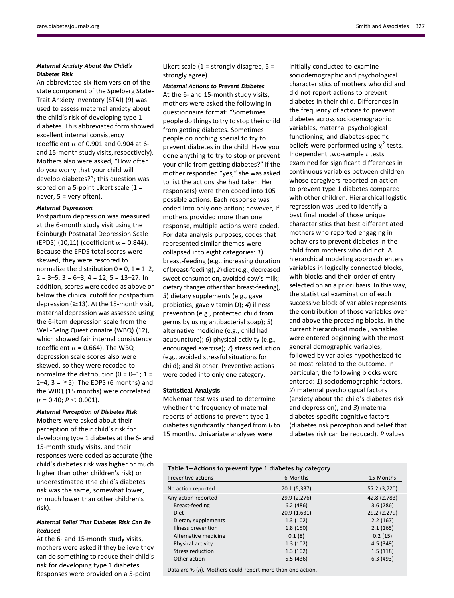# Maternal Anxiety About the Child's Diabetes Risk

An abbreviated six-item version of the state component of the Spielberg State-Trait Anxiety Inventory (STAI) (9) was used to assess maternal anxiety about the child's risk of developing type 1 diabetes. This abbreviated form showed excellent internal consistency (coefficient  $\alpha$  of 0.901 and 0.904 at 6and 15-month study visits, respectively). Mothers also were asked, "How often do you worry that your child will develop diabetes?"; this question was scored on a 5-point Likert scale (1 = never,  $5 =$  very often).

#### Maternal Depression

Postpartum depression was measured at the 6-month study visit using the Edinburgh Postnatal Depression Scale (EPDS) (10,11) (coefficient  $\alpha$  = 0.844). Because the EPDS total scores were skewed, they were rescored to normalize the distribution  $0 = 0$ ,  $1 = 1-2$ ,  $2 = 3-5$ ,  $3 = 6-8$ ,  $4 = 12$ ,  $5 = 13-27$ . In addition, scores were coded as above or below the clinical cutoff for postpartum depression ( $\geq$ 13). At the 15-month visit, maternal depression was assessed using the 6-item depression scale from the Well-Being Questionnaire (WBQ) (12), which showed fair internal consistency (coefficient  $\alpha$  = 0.664). The WBQ depression scale scores also were skewed, so they were recoded to normalize the distribution ( $0 = 0-1$ ;  $1 =$ 2–4;  $3 = \geq 5$ ). The EDPS (6 months) and the WBQ (15 months) were correlated  $(r = 0.40; P < 0.001).$ 

Maternal Perception of Diabetes Risk Mothers were asked about their perception of their child's risk for developing type 1 diabetes at the 6- and 15-month study visits, and their responses were coded as accurate (the child's diabetes risk was higher or much higher than other children's risk) or underestimated (the child's diabetes risk was the same, somewhat lower, or much lower than other children's risk).

# Maternal Belief That Diabetes Risk Can Be Reduced

At the 6- and 15-month study visits, mothers were asked if they believe they can do something to reduce their child's risk for developing type 1 diabetes. Responses were provided on a 5-point

Likert scale  $(1 =$  strongly disagree,  $5 =$ strongly agree).

Maternal Actions to Prevent Diabetes At the 6- and 15-month study visits, mothers were asked the following in questionnaire format: "Sometimes people do things to try to stop their child from getting diabetes. Sometimes people do nothing special to try to prevent diabetes in the child. Have you done anything to try to stop or prevent your child from getting diabetes?" If the mother responded "yes," she was asked to list the actions she had taken. Her response(s) were then coded into 105 possible actions. Each response was coded into only one action; however, if mothers provided more than one response, multiple actions were coded. For data analysis purposes, codes that represented similar themes were collapsed into eight categories: 1) breast-feeding (e.g., increasing duration of breast-feeding); 2) diet (e.g., decreased sweet consumption, avoided cow's milk; dietary changes other than breast-feeding), 3) dietary supplements (e.g., gave probiotics, gave vitamin D); 4) illness prevention (e.g., protected child from germs by using antibacterial soap); 5) alternative medicine (e.g., child had acupuncture); 6) physical activity (e.g., encouraged exercise); 7) stress reduction (e.g., avoided stressful situations for child); and 8) other. Preventive actions were coded into only one category.

### Statistical Analysis

McNemar test was used to determine whether the frequency of maternal reports of actions to prevent type 1 diabetes significantly changed from 6 to 15 months. Univariate analyses were

initially conducted to examine sociodemographic and psychological characteristics of mothers who did and did not report actions to prevent diabetes in their child. Differences in the frequency of actions to prevent diabetes across sociodemographic variables, maternal psychological functioning, and diabetes-specific beliefs were performed using  $\chi^2$  tests. Independent two-sample  $t$  tests examined for significant differences in continuous variables between children whose caregivers reported an action to prevent type 1 diabetes compared with other children. Hierarchical logistic regression was used to identify a best final model of those unique characteristics that best differentiated mothers who reported engaging in behaviors to prevent diabetes in the child from mothers who did not. A hierarchical modeling approach enters variables in logically connected blocks, with blocks and their order of entry selected on an a priori basis. In this way, the statistical examination of each successive block of variables represents the contribution of those variables over and above the preceding blocks. In the current hierarchical model, variables were entered beginning with the most general demographic variables, followed by variables hypothesized to be most related to the outcome. In particular, the following blocks were entered: 1) sociodemographic factors, 2) maternal psychological factors (anxiety about the child's diabetes risk and depression), and 3) maternal diabetes-specific cognitive factors (diabetes risk perception and belief that diabetes risk can be reduced). P values

| Table 1-Actions to prevent type 1 diabetes by category        |              |              |  |  |  |  |
|---------------------------------------------------------------|--------------|--------------|--|--|--|--|
| Preventive actions                                            | 6 Months     | 15 Months    |  |  |  |  |
| No action reported                                            | 70.1 (5,337) | 57.2 (3,720) |  |  |  |  |
| Any action reported                                           | 29.9 (2,276) | 42.8 (2,783) |  |  |  |  |
| Breast-feeding                                                | 6.2(486)     | 3.6(286)     |  |  |  |  |
| Diet                                                          | 20.9 (1,631) | 29.2 (2,279) |  |  |  |  |
| Dietary supplements                                           | 1.3(102)     | 2.2(167)     |  |  |  |  |
| Illness prevention                                            | 1.8(150)     | 2.1(165)     |  |  |  |  |
| Alternative medicine                                          | 0.1(8)       | 0.2(15)      |  |  |  |  |
| Physical activity                                             | 1.3(102)     | 4.5(349)     |  |  |  |  |
| Stress reduction                                              | 1.3(102)     | 1.5(118)     |  |  |  |  |
| Other action                                                  | 5.5(436)     | 6.3(493)     |  |  |  |  |
| Data are $\%$ (n). Mothers could report more than one action. |              |              |  |  |  |  |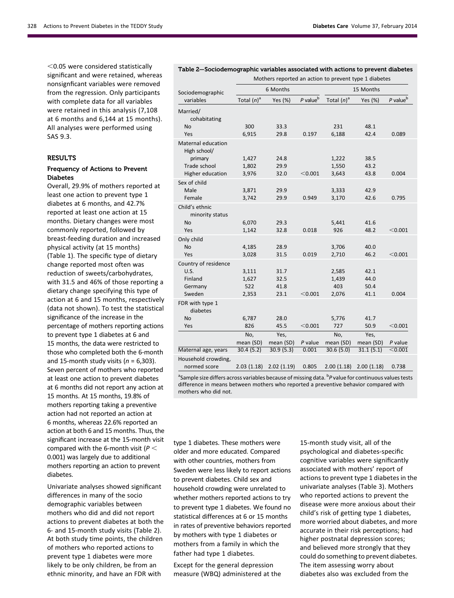$<$ 0.05 were considered statistically significant and were retained, whereas nonsignficant variables were removed from the regression. Only participants with complete data for all variables were retained in this analysis (7,108 at 6 months and 6,144 at 15 months). All analyses were performed using SAS 9.3.

### **RESULTS**

### Frequency of Actions to Prevent Diabetes

Overall, 29.9% of mothers reported at least one action to prevent type 1 diabetes at 6 months, and 42.7% reported at least one action at 15 months. Dietary changes were most commonly reported, followed by breast-feeding duration and increased physical activity (at 15 months) (Table 1). The specific type of dietary change reported most often was reduction of sweets/carbohydrates, with 31.5 and 46% of those reporting a dietary change specifying this type of action at 6 and 15 months, respectively (data not shown). To test the statistical significance of the increase in the percentage of mothers reporting actions to prevent type 1 diabetes at 6 and 15 months, the data were restricted to those who completed both the 6-month and 15-month study visits ( $n = 6,303$ ). Seven percent of mothers who reported at least one action to prevent diabetes at 6 months did not report any action at 15 months. At 15 months, 19.8% of mothers reporting taking a preventive action had not reported an action at 6 months, whereas 22.6% reported an action at both 6 and 15 months. Thus, the significant increase at the 15-month visit compared with the 6-month visit ( $P <$ 0.001) was largely due to additional mothers reporting an action to prevent diabetes.

Univariate analyses showed significant differences in many of the socio demographic variables between mothers who did and did not report actions to prevent diabetes at both the 6- and 15-month study visits (Table 2). At both study time points, the children of mothers who reported actions to prevent type 1 diabetes were more likely to be only children, be from an ethnic minority, and have an FDR with

|                                           |                | Mothers reported an action to prevent type 1 diabetes |               |                |              |               |  |
|-------------------------------------------|----------------|-------------------------------------------------------|---------------|----------------|--------------|---------------|--|
| Sociodemographic                          | 6 Months       |                                                       |               | 15 Months      |              |               |  |
| variables                                 | Total $(n)^a$  | Yes (%)                                               | $P$ value $b$ | Total $(n)^a$  | Yes (%)      | $P$ value $b$ |  |
| Married/<br>cohabitating                  |                |                                                       |               |                |              |               |  |
| No                                        | 300            | 33.3                                                  |               | 231            | 48.1         |               |  |
| Yes                                       | 6,915          | 29.8                                                  | 0.197         | 6,188          | 42.4         | 0.089         |  |
| <b>Maternal education</b><br>High school/ |                |                                                       |               |                |              |               |  |
| primary                                   | 1,427          | 24.8                                                  |               | 1,222          | 38.5         |               |  |
| Trade school                              | 1,802          | 29.9                                                  |               | 1,550          | 43.2         |               |  |
| Higher education                          | 3,976          | 32.0                                                  | $<$ 0.001     | 3,643          | 43.8         | 0.004         |  |
| Sex of child                              |                |                                                       |               |                |              |               |  |
| Male<br>Female                            | 3,871<br>3,742 | 29.9<br>29.9                                          | 0.949         | 3,333<br>3,170 | 42.9<br>42.6 | 0.795         |  |
|                                           |                |                                                       |               |                |              |               |  |
| Child's ethnic<br>minority status         |                |                                                       |               |                |              |               |  |
| <b>No</b>                                 | 6,070          | 29.3                                                  |               | 5,441          | 41.6         |               |  |
| Yes                                       | 1,142          | 32.8                                                  | 0.018         | 926            | 48.2         | < 0.001       |  |
| Only child                                |                |                                                       |               |                |              |               |  |
| No                                        | 4,185          | 28.9                                                  |               | 3,706          | 40.0         |               |  |
| Yes                                       | 3,028          | 31.5                                                  | 0.019         | 2,710          | 46.2         | < 0.001       |  |
| Country of residence                      |                |                                                       |               |                |              |               |  |
| U.S.                                      | 3,111          | 31.7                                                  |               | 2,585          | 42.1         |               |  |
| Finland                                   | 1,627          | 32.5                                                  |               | 1,439          | 44.0         |               |  |
| Germany                                   | 522            | 41.8                                                  |               | 403            | 50.4         |               |  |
| Sweden                                    | 2,353          | 23.1                                                  | < 0.001       | 2,076          | 41.1         | 0.004         |  |
| FDR with type 1<br>diabetes               |                |                                                       |               |                |              |               |  |
| <b>No</b>                                 | 6,787          | 28.0                                                  |               | 5,776          | 41.7         |               |  |
| Yes                                       | 826            | 45.5                                                  | $<$ 0.001     | 727            | 50.9         | < 0.001       |  |
|                                           | No,            | Yes,                                                  |               | No,            | Yes,         |               |  |
|                                           | mean (SD)      | mean (SD)                                             | P value       | mean (SD)      | mean (SD)    | $P$ value     |  |
| Maternal age, years                       | 30.4(5.2)      | 30.9(5.3)                                             | 0.001         | 30.6(5.0)      | 31.1(5.1)    | < 0.001       |  |
| Household crowding,<br>normed score       | 2.03(1.18)     | 2.02(1.19)                                            | 0.805         | 2.00(1.18)     | 2.00(1.18)   | 0.738         |  |

Table 2—Sociodemographic variables associated with actions to prevent diabetes

<sup>a</sup>Sample size differs across variables because of missing data. <sup>b</sup>P value for continuous values tests difference in means between mothers who reported a preventive behavior compared with mothers who did not.

type 1 diabetes. These mothers were older and more educated. Compared with other countries, mothers from Sweden were less likely to report actions to prevent diabetes. Child sex and household crowding were unrelated to whether mothers reported actions to try to prevent type 1 diabetes. We found no statistical differences at 6 or 15 months in rates of preventive behaviors reported by mothers with type 1 diabetes or mothers from a family in which the father had type 1 diabetes.

Except for the general depression measure (WBQ) administered at the 15-month study visit, all of the psychological and diabetes-specific cognitive variables were significantly associated with mothers' report of actions to prevent type 1 diabetes in the univariate analyses (Table 3). Mothers who reported actions to prevent the disease were more anxious about their child's risk of getting type 1 diabetes, more worried about diabetes, and more accurate in their risk perceptions; had higher postnatal depression scores; and believed more strongly that they could do something to prevent diabetes. The item assessing worry about diabetes also was excluded from the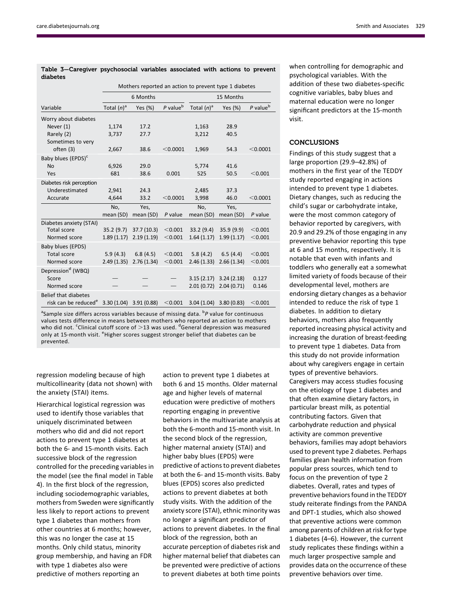|                                                          | Mothers reported an action to prevent type 1 diabetes |            |                      |               |                           |                      |
|----------------------------------------------------------|-------------------------------------------------------|------------|----------------------|---------------|---------------------------|----------------------|
|                                                          | 6 Months                                              |            | 15 Months            |               |                           |                      |
| Variable                                                 | Total $(n)^a$                                         | Yes (%)    | P value <sup>b</sup> | Total $(n)^a$ | Yes (%)                   | P value <sup>b</sup> |
| Worry about diabetes                                     |                                                       |            |                      |               |                           |                      |
| Never $(1)$                                              | 1,174                                                 | 17.2       |                      | 1,163         | 28.9                      |                      |
| Rarely (2)<br>Sometimes to very                          | 3,737                                                 | 27.7       |                      | 3,212         | 40.5                      |                      |
| often (3)                                                | 2,667                                                 | 38.6       | < 0.0001             | 1,969         | 54.3                      | < 0.0001             |
| Baby blues (EPDS) <sup>c</sup>                           |                                                       |            |                      |               |                           |                      |
| <b>No</b>                                                | 6,926                                                 | 29.0       |                      | 5,774         | 41.6                      |                      |
| Yes                                                      | 681                                                   | 38.6       | 0.001                | 525           | 50.5                      | < 0.001              |
| Diabetes risk perception                                 |                                                       |            |                      |               |                           |                      |
| Underestimated                                           | 2,941                                                 | 24.3       |                      | 2.485         | 37.3                      |                      |
| Accurate                                                 | 4,644                                                 | 33.2       | < 0.0001             | 3,998         | 46.0                      | $<$ 0.0001           |
|                                                          | No,                                                   | Yes.       |                      | No.           | Yes.                      |                      |
|                                                          | mean (SD)                                             | mean (SD)  | $P$ value            | mean (SD)     | mean (SD)                 | $P$ value            |
| Diabetes anxiety (STAI)<br><b>Total score</b>            | 35.2(9.7)                                             | 37.7(10.3) | < 0.001              | 33.2(9.4)     | 35.9(9.9)                 | < 0.001              |
| Normed score                                             | 1.89(1.17)                                            | 2.19(1.19) | < 0.001              | 1.64(1.17)    | 1.99(1.17)                | < 0.001              |
| Baby blues (EPDS)                                        |                                                       |            |                      |               |                           |                      |
| <b>Total score</b>                                       | 5.9(4.3)                                              | 6.8(4.5)   | < 0.001              | 5.8(4.2)      | 6.5(4.4)                  | < 0.001              |
| Normed score                                             | 2.49(1.35)                                            | 2.76(1.34) | < 0.001              | 2.46(1.33)    | 2.66(1.34)                | < 0.001              |
| Depression <sup>d</sup> (WBQ)                            |                                                       |            |                      |               |                           |                      |
| Score                                                    |                                                       |            |                      | 3.15(2.17)    | 3.24(2.18)                | 0.127                |
| Normed score                                             |                                                       |            |                      | 2.01(0.72)    | 2.04(0.71)                | 0.146                |
| Belief that diabetes                                     |                                                       |            |                      |               |                           |                      |
| risk can be reduced <sup>e</sup> 3.30 (1.04) 3.91 (0.88) |                                                       |            | < 0.001              |               | $3.04(1.04)$ $3.80(0.83)$ | < 0.001              |

Table 3—Caregiver psychosocial variables associated with actions to prevent diabetes

<sup>a</sup>Sample size differs across variables because of missing data. <sup>b</sup>P value for continuous values tests difference in means between mothers who reported an action to mothers who did not. <sup>c</sup>Clinical cutoff score of  $>$ 13 was used. <sup>d</sup>General depression was measured only at 15-month visit. <sup>e</sup>Higher scores suggest stronger belief that diabetes can be prevented.

regression modeling because of high multicollinearity (data not shown) with the anxiety (STAI) items.

Hierarchical logistical regression was used to identify those variables that uniquely discriminated between mothers who did and did not report actions to prevent type 1 diabetes at both the 6- and 15-month visits. Each successive block of the regression controlled for the preceding variables in the model (see the final model in Table 4). In the first block of the regression, including sociodemographic variables, mothers from Sweden were significantly less likely to report actions to prevent type 1 diabetes than mothers from other countries at 6 months; however, this was no longer the case at 15 months. Only child status, minority group membership, and having an FDR with type 1 diabetes also were predictive of mothers reporting an

action to prevent type 1 diabetes at both 6 and 15 months. Older maternal age and higher levels of maternal education were predictive of mothers reporting engaging in preventive behaviors in the multivariate analysis at both the 6-month and 15-month visit. In the second block of the regression, higher maternal anxiety (STAI) and higher baby blues (EPDS) were predictive of actions to prevent diabetes at both the 6- and 15-month visits. Baby blues (EPDS) scores also predicted actions to prevent diabetes at both study visits. With the addition of the anxiety score (STAI), ethnic minority was no longer a significant predictor of actions to prevent diabetes. In the final block of the regression, both an accurate perception of diabetes risk and higher maternal belief that diabetes can be prevented were predictive of actions to prevent diabetes at both time points when controlling for demographic and psychological variables. With the addition of these two diabetes-specific cognitive variables, baby blues and maternal education were no longer significant predictors at the 15-month visit.

# CONCLUSIONS

Findings of this study suggest that a large proportion (29.9–42.8%) of mothers in the first year of the TEDDY study reported engaging in actions intended to prevent type 1 diabetes. Dietary changes, such as reducing the child's sugar or carbohydrate intake, were the most common category of behavior reported by caregivers, with 20.9 and 29.2% of those engaging in any preventive behavior reporting this type at 6 and 15 months, respectively. It is notable that even with infants and toddlers who generally eat a somewhat limited variety of foods because of their developmental level, mothers are endorsing dietary changes as a behavior intended to reduce the risk of type 1 diabetes. In addition to dietary behaviors, mothers also frequently reported increasing physical activity and increasing the duration of breast-feeding to prevent type 1 diabetes. Data from this study do not provide information about why caregivers engage in certain types of preventive behaviors. Caregivers may access studies focusing on the etiology of type 1 diabetes and that often examine dietary factors, in particular breast milk, as potential contributing factors. Given that carbohydrate reduction and physical activity are common preventive behaviors, families may adopt behaviors used to prevent type 2 diabetes. Perhaps families glean health information from popular press sources, which tend to focus on the prevention of type 2 diabetes. Overall, rates and types of preventive behaviors found in the TEDDY study reiterate findings from the PANDA and DPT-1 studies, which also showed that preventive actions were common among parents of children at risk for type 1 diabetes (4–6). However, the current study replicates these findings within a much larger prospective sample and provides data on the occurrence of these preventive behaviors over time.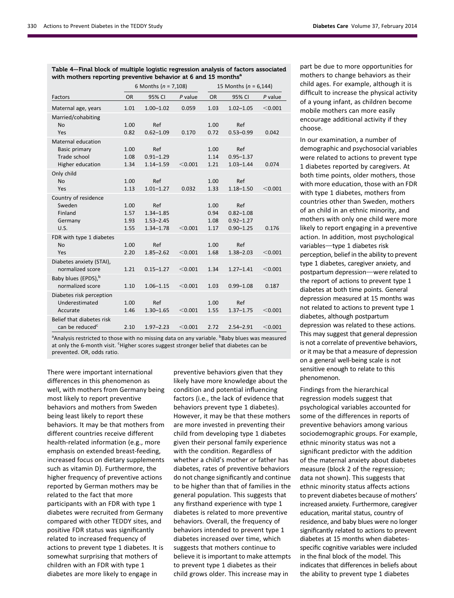| Table 4–Final block of multiple logistic regression analysis of factors associated |  |
|------------------------------------------------------------------------------------|--|
| with mothers reporting preventive behavior at 6 and 15 months <sup>a</sup>         |  |

|                                                                                | 6 Months ( $n = 7,108$ )     |                                                        |           | 15 Months ( $n = 6,144$ )    |                                                        |           |  |
|--------------------------------------------------------------------------------|------------------------------|--------------------------------------------------------|-----------|------------------------------|--------------------------------------------------------|-----------|--|
| Factors                                                                        | <b>OR</b>                    | 95% CI                                                 | $P$ value | <b>OR</b>                    | 95% CI                                                 | $P$ value |  |
| Maternal age, years                                                            | 1.01                         | $1.00 - 1.02$                                          | 0.059     | 1.03                         | $1.02 - 1.05$                                          | < 0.001   |  |
| Married/cohabiting<br>No<br>Yes                                                | 1.00<br>0.82                 | Ref<br>$0.62 - 1.09$                                   | 0.170     | 1.00<br>0.72                 | Ref<br>$0.53 - 0.99$                                   | 0.042     |  |
| Maternal education<br><b>Basic primary</b><br>Trade school<br>Higher education | 1.00<br>1.08<br>1.34         | Ref<br>$0.91 - 1.29$<br>$1.14 - 1.59$                  | < 0.001   | 1.00<br>1.14<br>1.21         | Ref<br>$0.95 - 1.37$<br>$1.03 - 1.44$                  | 0.074     |  |
| Only child<br><b>No</b><br>Yes                                                 | 1.00<br>1.13                 | Ref<br>$1.01 - 1.27$                                   | 0.032     | 1.00<br>1.33                 | Ref<br>$1.18 - 1.50$                                   | < 0.001   |  |
| Country of residence<br>Sweden<br>Finland<br>Germany<br>U.S.                   | 1.00<br>1.57<br>1.93<br>1.55 | Ref<br>$1.34 - 1.85$<br>$1.53 - 2.45$<br>$1.34 - 1.78$ | < 0.001   | 1.00<br>0.94<br>1.08<br>1.17 | Ref<br>$0.82 - 1.08$<br>$0.92 - 1.27$<br>$0.90 - 1.25$ | 0.176     |  |
| FDR with type 1 diabetes<br><b>No</b><br>Yes                                   | 1.00<br>2.20                 | Ref<br>$1.85 - 2.62$                                   | < 0.001   | 1.00<br>1.68                 | Ref<br>$1.38 - 2.03$                                   | < 0.001   |  |
| Diabetes anxiety (STAI),<br>normalized score                                   | 1.21                         | $0.15 - 1.27$                                          | < 0.001   | 1.34                         | $1.27 - 1.41$                                          | < 0.001   |  |
| Baby blues (EPDS), <sup>b</sup><br>normalized score                            | 1.10                         | $1.06 - 1.15$                                          | < 0.001   | 1.03                         | $0.99 - 1.08$                                          | 0.187     |  |
| Diabetes risk perception<br>Underestimated<br>Accurate                         | 1.00<br>1.46                 | Ref<br>$1.30 - 1.65$                                   | < 0.001   | 1.00<br>1.55                 | Ref<br>$1.37 - 1.75$                                   | < 0.001   |  |
| Belief that diabetes risk<br>can be reduced <sup>c</sup>                       | 2.10                         | $1.97 - 2.23$                                          | < 0.001   | 2.72                         | $2.54 - 2.91$                                          | < 0.001   |  |

<sup>a</sup>Analysis restricted to those with no missing data on any variable. <sup>b</sup>Baby blues was measured at only the 6-month visit. <sup>c</sup>Higher scores suggest stronger belief that diabetes can be prevented. OR, odds ratio.

There were important international differences in this phenomenon as well, with mothers from Germany being most likely to report preventive behaviors and mothers from Sweden being least likely to report these behaviors. It may be that mothers from different countries receive different health-related information (e.g., more emphasis on extended breast-feeding, increased focus on dietary supplements such as vitamin D). Furthermore, the higher frequency of preventive actions reported by German mothers may be related to the fact that more participants with an FDR with type 1 diabetes were recruited from Germany compared with other TEDDY sites, and positive FDR status was significantly related to increased frequency of actions to prevent type 1 diabetes. It is somewhat surprising that mothers of children with an FDR with type 1 diabetes are more likely to engage in

preventive behaviors given that they likely have more knowledge about the condition and potential influencing factors (i.e., the lack of evidence that behaviors prevent type 1 diabetes). However, it may be that these mothers are more invested in preventing their child from developing type 1 diabetes given their personal family experience with the condition. Regardless of whether a child's mother or father has diabetes, rates of preventive behaviors do not change significantly and continue to be higher than that of families in the general population. This suggests that any firsthand experience with type 1 diabetes is related to more preventive behaviors. Overall, the frequency of behaviors intended to prevent type 1 diabetes increased over time, which suggests that mothers continue to believe it is important to make attempts to prevent type 1 diabetes as their child grows older. This increase may in

part be due to more opportunities for mothers to change behaviors as their child ages. For example, although it is difficult to increase the physical activity of a young infant, as children become mobile mothers can more easily encourage additional activity if they choose.

In our examination, a number of demographic and psychosocial variables were related to actions to prevent type 1 diabetes reported by caregivers. At both time points, older mothers, those with more education, those with an FDR with type 1 diabetes, mothers from countries other than Sweden, mothers of an child in an ethnic minority, and mothers with only one child were more likely to report engaging in a preventive action. In addition, most psychological variables-type 1 diabetes risk perception, belief in the ability to prevent type 1 diabetes, caregiver anxiety, and postpartum depression-were related to the report of actions to prevent type 1 diabetes at both time points. General depression measured at 15 months was not related to actions to prevent type 1 diabetes, although postpartum depression was related to these actions. This may suggest that general depression is not a correlate of preventive behaviors, or it may be that a measure of depression on a general well-being scale is not sensitive enough to relate to this phenomenon.

Findings from the hierarchical regression models suggest that psychological variables accounted for some of the differences in reports of preventive behaviors among various sociodemographic groups. For example, ethnic minority status was not a significant predictor with the addition of the maternal anxiety about diabetes measure (block 2 of the regression; data not shown). This suggests that ethnic minority status affects actions to prevent diabetes because of mothers' increased anxiety. Furthermore, caregiver education, marital status, country of residence, and baby blues were no longer significantly related to actions to prevent diabetes at 15 months when diabetesspecific cognitive variables were included in the final block of the model. This indicates that differences in beliefs about the ability to prevent type 1 diabetes